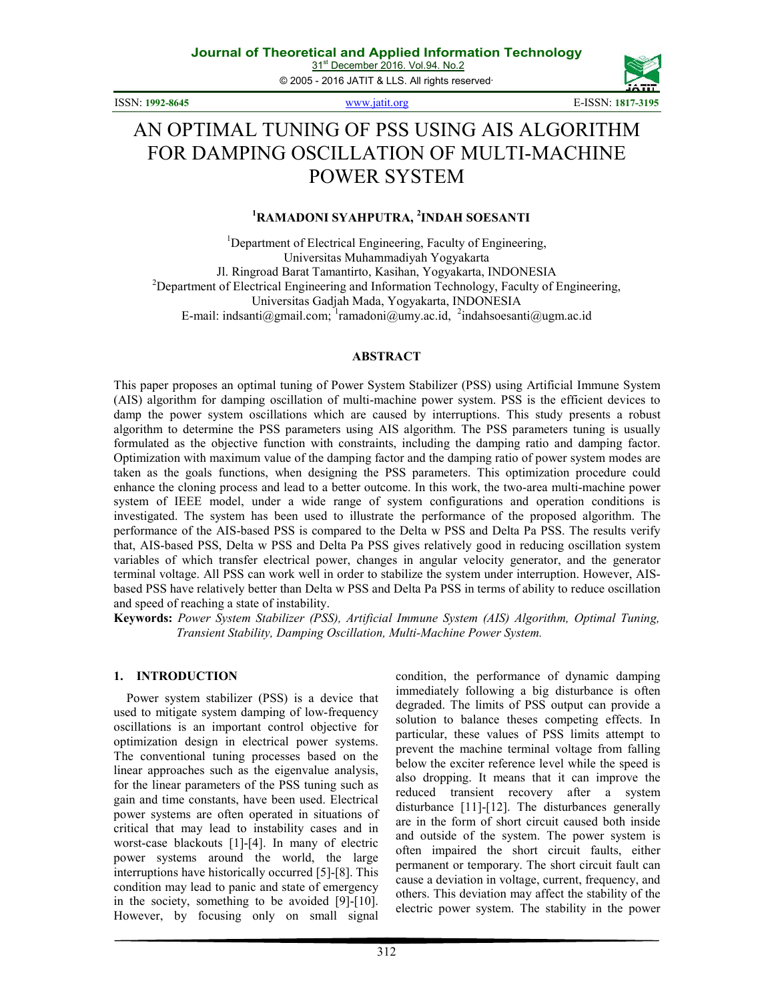31<sup>st</sup> December 2016. Vol.94. No.2 © 2005 - 2016 JATIT & LLS. All rights reserved.

ISSN: **1992-8645** www.jatit.org E-ISSN: **1817-3195** 



# AN OPTIMAL TUNING OF PSS USING AIS ALGORITHM FOR DAMPING OSCILLATION OF MULTI-MACHINE POWER SYSTEM

#### **<sup>1</sup>RAMADONI SYAHPUTRA, <sup>2</sup> INDAH SOESANTI**

<sup>1</sup>Department of Electrical Engineering, Faculty of Engineering, Universitas Muhammadiyah Yogyakarta Jl. Ringroad Barat Tamantirto, Kasihan, Yogyakarta, INDONESIA <sup>2</sup>Department of Electrical Engineering and Information Technology, Faculty of Engineering, Universitas Gadjah Mada, Yogyakarta, INDONESIA E-mail: indsanti@gmail.com;  $\frac{1}{1}$ ramadoni@umy.ac.id,  $\frac{2}{1}$ indahsoesanti@ugm.ac.id

#### **ABSTRACT**

This paper proposes an optimal tuning of Power System Stabilizer (PSS) using Artificial Immune System (AIS) algorithm for damping oscillation of multi-machine power system. PSS is the efficient devices to damp the power system oscillations which are caused by interruptions. This study presents a robust algorithm to determine the PSS parameters using AIS algorithm. The PSS parameters tuning is usually formulated as the objective function with constraints, including the damping ratio and damping factor. Optimization with maximum value of the damping factor and the damping ratio of power system modes are taken as the goals functions, when designing the PSS parameters. This optimization procedure could enhance the cloning process and lead to a better outcome. In this work, the two-area multi-machine power system of IEEE model, under a wide range of system configurations and operation conditions is investigated. The system has been used to illustrate the performance of the proposed algorithm. The performance of the AIS-based PSS is compared to the Delta w PSS and Delta Pa PSS. The results verify that, AIS-based PSS, Delta w PSS and Delta Pa PSS gives relatively good in reducing oscillation system variables of which transfer electrical power, changes in angular velocity generator, and the generator terminal voltage. All PSS can work well in order to stabilize the system under interruption. However, AISbased PSS have relatively better than Delta w PSS and Delta Pa PSS in terms of ability to reduce oscillation and speed of reaching a state of instability.

**Keywords:** *Power System Stabilizer (PSS), Artificial Immune System (AIS) Algorithm, Optimal Tuning, Transient Stability, Damping Oscillation, Multi-Machine Power System.*

#### **1. INTRODUCTION**

Power system stabilizer (PSS) is a device that used to mitigate system damping of low-frequency oscillations is an important control objective for optimization design in electrical power systems. The conventional tuning processes based on the linear approaches such as the eigenvalue analysis, for the linear parameters of the PSS tuning such as gain and time constants, have been used. Electrical power systems are often operated in situations of critical that may lead to instability cases and in worst-case blackouts [1]-[4]. In many of electric power systems around the world, the large interruptions have historically occurred [5]-[8]. This condition may lead to panic and state of emergency in the society, something to be avoided [9]-[10]. However, by focusing only on small signal

condition, the performance of dynamic damping immediately following a big disturbance is often degraded. The limits of PSS output can provide a solution to balance theses competing effects. In particular, these values of PSS limits attempt to prevent the machine terminal voltage from falling below the exciter reference level while the speed is also dropping. It means that it can improve the reduced transient recovery after a system disturbance [11]-[12]. The disturbances generally are in the form of short circuit caused both inside and outside of the system. The power system is often impaired the short circuit faults, either permanent or temporary. The short circuit fault can cause a deviation in voltage, current, frequency, and others. This deviation may affect the stability of the electric power system. The stability in the power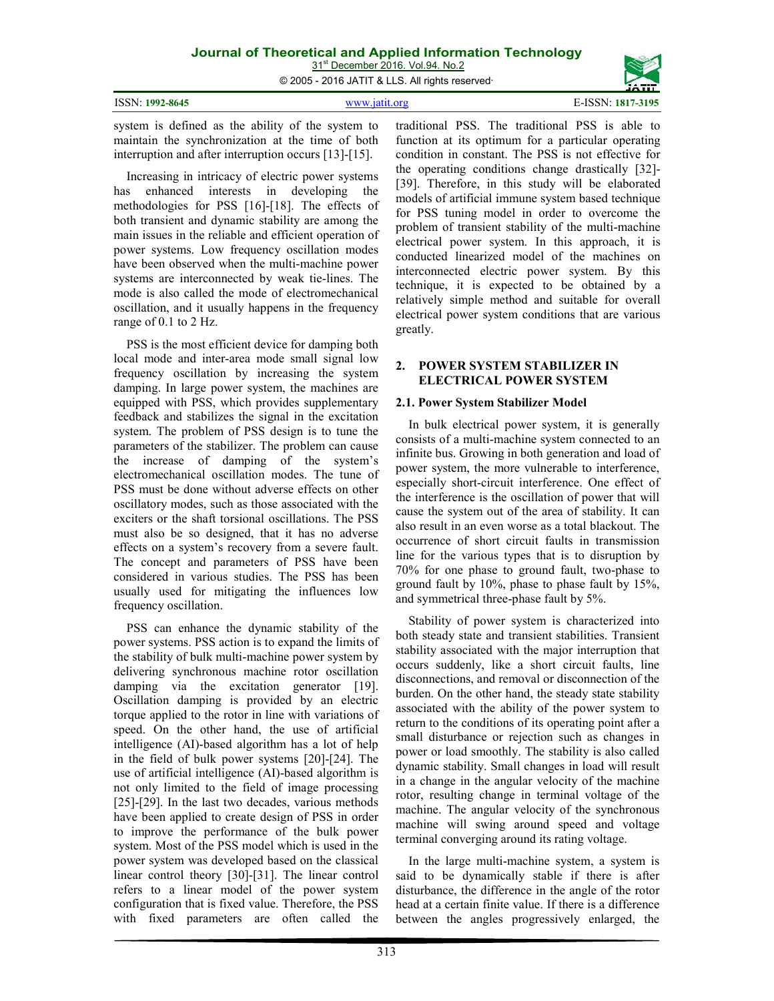31<sup>st</sup> December 2016. Vol.94. No.2 © 2005 - 2016 JATIT & LLS. All rights reserved.

|                 |                                                                                                               | ________<br><b>JA111</b> |
|-----------------|---------------------------------------------------------------------------------------------------------------|--------------------------|
| ISSN: 1992-8645 | www.jatit.org                                                                                                 | E-ISSN: 1817-3195        |
|                 | . ما داخلت من DOO المستقلة مثلاً DOO - DOO المستقلة من مستقلة مثلاً عن مثلاً على مثل من المستقلة من مستقلة من |                          |

system is defined as the ability of the system to maintain the synchronization at the time of both interruption and after interruption occurs [13]-[15].

Increasing in intricacy of electric power systems has enhanced interests in developing the methodologies for PSS [16]-[18]. The effects of both transient and dynamic stability are among the main issues in the reliable and efficient operation of power systems. Low frequency oscillation modes have been observed when the multi-machine power systems are interconnected by weak tie-lines. The mode is also called the mode of electromechanical oscillation, and it usually happens in the frequency range of 0.1 to 2 Hz.

PSS is the most efficient device for damping both local mode and inter-area mode small signal low frequency oscillation by increasing the system damping. In large power system, the machines are equipped with PSS, which provides supplementary feedback and stabilizes the signal in the excitation system. The problem of PSS design is to tune the parameters of the stabilizer. The problem can cause the increase of damping of the system's electromechanical oscillation modes. The tune of PSS must be done without adverse effects on other oscillatory modes, such as those associated with the exciters or the shaft torsional oscillations. The PSS must also be so designed, that it has no adverse effects on a system's recovery from a severe fault. The concept and parameters of PSS have been considered in various studies. The PSS has been usually used for mitigating the influences low frequency oscillation.

PSS can enhance the dynamic stability of the power systems. PSS action is to expand the limits of the stability of bulk multi-machine power system by delivering synchronous machine rotor oscillation damping via the excitation generator [19]. Oscillation damping is provided by an electric torque applied to the rotor in line with variations of speed. On the other hand, the use of artificial intelligence (AI)-based algorithm has a lot of help in the field of bulk power systems [20]-[24]. The use of artificial intelligence (AI)-based algorithm is not only limited to the field of image processing [25]-[29]. In the last two decades, various methods have been applied to create design of PSS in order to improve the performance of the bulk power system. Most of the PSS model which is used in the power system was developed based on the classical linear control theory [30]-[31]. The linear control refers to a linear model of the power system configuration that is fixed value. Therefore, the PSS with fixed parameters are often called the

traditional PSS. The traditional PSS is able to function at its optimum for a particular operating condition in constant. The PSS is not effective for the operating conditions change drastically [32]- [39]. Therefore, in this study will be elaborated models of artificial immune system based technique for PSS tuning model in order to overcome the problem of transient stability of the multi-machine electrical power system. In this approach, it is conducted linearized model of the machines on interconnected electric power system. By this technique, it is expected to be obtained by a relatively simple method and suitable for overall electrical power system conditions that are various greatly.

#### **2. POWER SYSTEM STABILIZER IN ELECTRICAL POWER SYSTEM**

#### **2.1. Power System Stabilizer Model**

In bulk electrical power system, it is generally consists of a multi-machine system connected to an infinite bus. Growing in both generation and load of power system, the more vulnerable to interference, especially short-circuit interference. One effect of the interference is the oscillation of power that will cause the system out of the area of stability. It can also result in an even worse as a total blackout. The occurrence of short circuit faults in transmission line for the various types that is to disruption by 70% for one phase to ground fault, two-phase to ground fault by 10%, phase to phase fault by 15%, and symmetrical three-phase fault by 5%.

Stability of power system is characterized into both steady state and transient stabilities. Transient stability associated with the major interruption that occurs suddenly, like a short circuit faults, line disconnections, and removal or disconnection of the burden. On the other hand, the steady state stability associated with the ability of the power system to return to the conditions of its operating point after a small disturbance or rejection such as changes in power or load smoothly. The stability is also called dynamic stability. Small changes in load will result in a change in the angular velocity of the machine rotor, resulting change in terminal voltage of the machine. The angular velocity of the synchronous machine will swing around speed and voltage terminal converging around its rating voltage.

In the large multi-machine system, a system is said to be dynamically stable if there is after disturbance, the difference in the angle of the rotor head at a certain finite value. If there is a difference between the angles progressively enlarged, the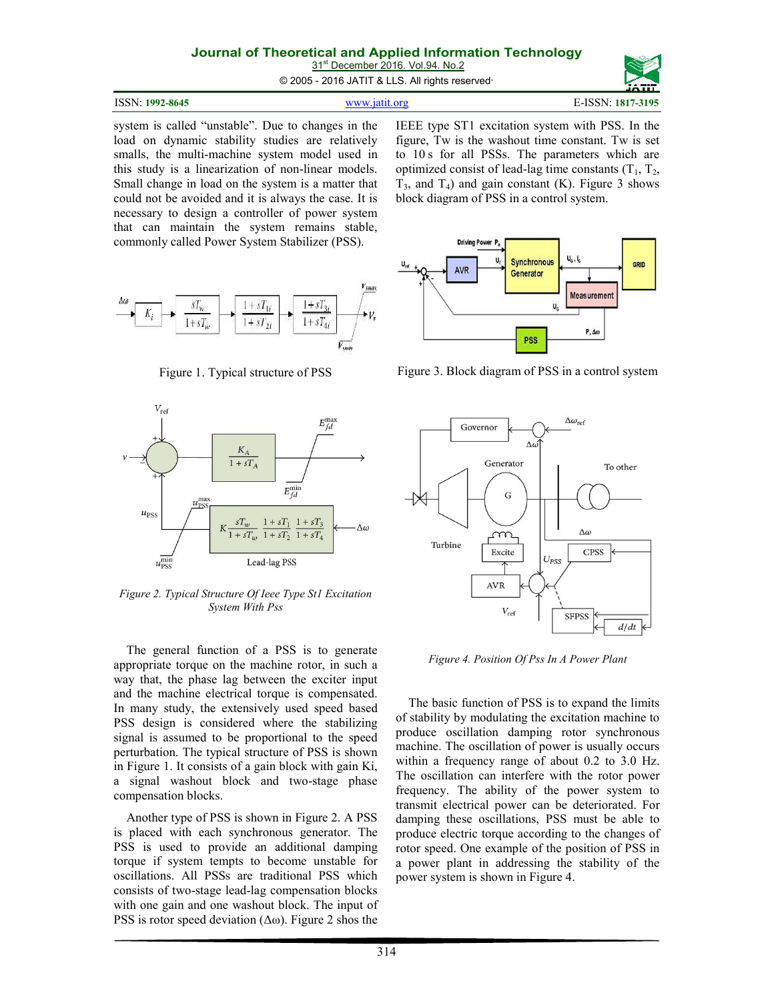31<sup>st</sup> December 2016. Vol.94. No.2

© 2005 - 2016 JATIT & LLS. All rights reserved.

system is called "unstable". Due to changes in the load on dynamic stability studies are relatively smalls, the multi-machine system model used in this study is a linearization of non-linear models. Small change in load on the system is a matter that could not be avoided and it is always the case. It is necessary to design a controller of power system that can maintain the system remains stable, commonly called Power System Stabilizer (PSS).



Figure 1. Typical structure of PSS



*Figure 2. Typical Structure Of Ieee Type St1 Excitation System With Pss* 

The general function of a PSS is to generate appropriate torque on the machine rotor, in such a way that, the phase lag between the exciter input and the machine electrical torque is compensated. In many study, the extensively used speed based PSS design is considered where the stabilizing signal is assumed to be proportional to the speed perturbation. The typical structure of PSS is shown in Figure 1. It consists of a gain block with gain Ki, a signal washout block and two-stage phase compensation blocks.

Another type of PSS is shown in Figure 2. A PSS is placed with each synchronous generator. The PSS is used to provide an additional damping torque if system tempts to become unstable for oscillations. All PSSs are traditional PSS which consists of two-stage lead-lag compensation blocks with one gain and one washout block. The input of PSS is rotor speed deviation  $(\Delta \omega)$ . Figure 2 shos the IEEE type ST1 excitation system with PSS. In the figure, Tw is the washout time constant. Tw is set to 10 s for all PSSs. The parameters which are optimized consist of lead-lag time constants  $(T_1, T_2, T_3)$  $T_3$ , and  $T_4$ ) and gain constant (K). Figure 3 shows block diagram of PSS in a control system.



Figure 3. Block diagram of PSS in a control system



*Figure 4. Position Of Pss In A Power Plant* 

The basic function of PSS is to expand the limits of stability by modulating the excitation machine to produce oscillation damping rotor synchronous machine. The oscillation of power is usually occurs within a frequency range of about 0.2 to 3.0 Hz. The oscillation can interfere with the rotor power frequency. The ability of the power system to transmit electrical power can be deteriorated. For damping these oscillations, PSS must be able to produce electric torque according to the changes of rotor speed. One example of the position of PSS in a power plant in addressing the stability of the power system is shown in Figure 4.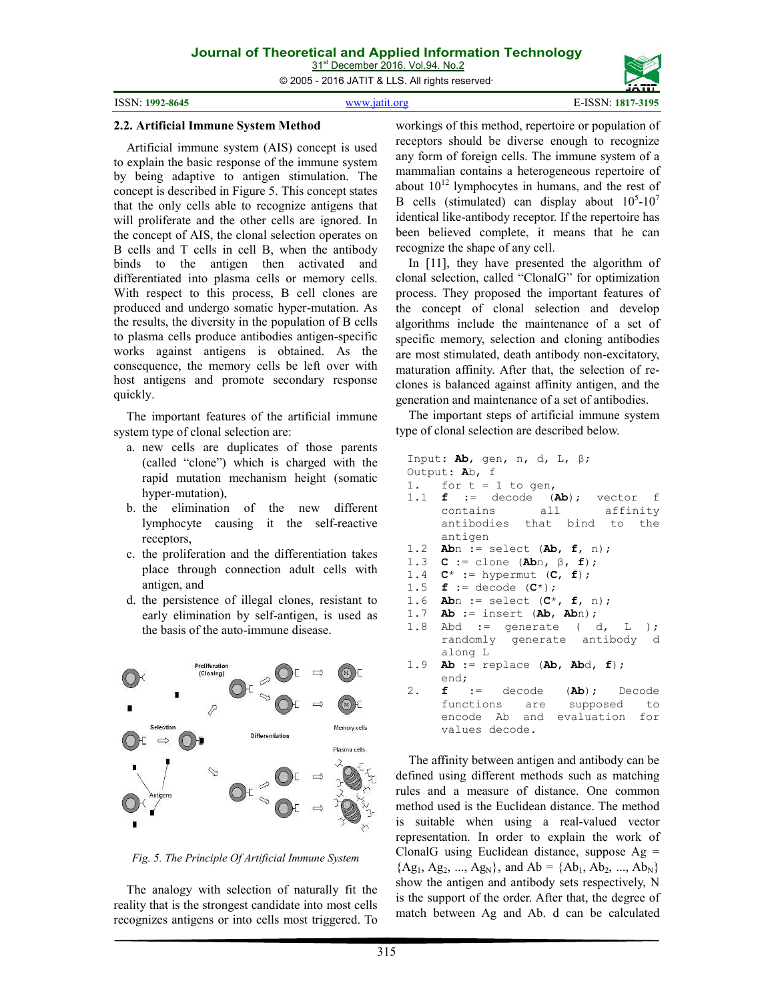© 2005 - 2016 JATIT & LLS. All rights reserved.

#### **2.2. Artificial Immune System Method**

Artificial immune system (AIS) concept is used to explain the basic response of the immune system by being adaptive to antigen stimulation. The concept is described in Figure 5. This concept states that the only cells able to recognize antigens that will proliferate and the other cells are ignored. In the concept of AIS, the clonal selection operates on B cells and T cells in cell B, when the antibody binds to the antigen then activated and differentiated into plasma cells or memory cells. With respect to this process, B cell clones are produced and undergo somatic hyper-mutation. As the results, the diversity in the population of B cells to plasma cells produce antibodies antigen-specific works against antigens is obtained. As the consequence, the memory cells be left over with host antigens and promote secondary response quickly.

The important features of the artificial immune system type of clonal selection are:

- a. new cells are duplicates of those parents (called "clone") which is charged with the rapid mutation mechanism height (somatic hyper-mutation),
- b. the elimination of the new different lymphocyte causing it the self-reactive receptors,
- c. the proliferation and the differentiation takes place through connection adult cells with antigen, and
- d. the persistence of illegal clones, resistant to early elimination by self-antigen, is used as the basis of the auto-immune disease.



*Fig. 5. The Principle Of Artificial Immune System* 

The analogy with selection of naturally fit the reality that is the strongest candidate into most cells recognizes antigens or into cells most triggered. To workings of this method, repertoire or population of receptors should be diverse enough to recognize any form of foreign cells. The immune system of a mammalian contains a heterogeneous repertoire of about  $10^{12}$  lymphocytes in humans, and the rest of B cells (stimulated) can display about  $10^5$ - $10^7$ identical like-antibody receptor. If the repertoire has been believed complete, it means that he can recognize the shape of any cell.

In [11], they have presented the algorithm of clonal selection, called "ClonalG" for optimization process. They proposed the important features of the concept of clonal selection and develop algorithms include the maintenance of a set of specific memory, selection and cloning antibodies are most stimulated, death antibody non-excitatory, maturation affinity. After that, the selection of reclones is balanced against affinity antigen, and the generation and maintenance of a set of antibodies.

The important steps of artificial immune system type of clonal selection are described below.

```
Input: Ab, gen, n, d, L, β; 
Output: Ab, f 
1. for t = 1 to gen,
1.1 f := decode (Ab); vector f 
     contains all affinity 
     antibodies that bind to the 
     antigen 
1.2 Abn := select (Ab, f, n); 
1.3 C := clone (Abn, β, f);<br>1.4 C* := hypermut (C, f);
    C^* := hypermut (C, f);
1.5 f := decode (C*); 
1.6 Abn := select (C*, f, n); 
1.7 Ab := insert (Ab, Abn); 
1.8 Abd := generate (d, L);
     randomly generate antibody d 
     along L 
1.9 Ab := replace (Ab, Abd, f); 
      end; 
2. f := decode (Ab); Decode 
     functions are supposed to 
     encode Ab and evaluation for 
     values decode.
```
The affinity between antigen and antibody can be defined using different methods such as matching rules and a measure of distance. One common method used is the Euclidean distance. The method is suitable when using a real-valued vector representation. In order to explain the work of ClonalG using Euclidean distance, suppose  $Ag =$  ${Ag_1, Ag_2, ..., Ag_N},$  and  $Ab = {Ab_1, Ab_2, ..., Ab_N}$ show the antigen and antibody sets respectively, N is the support of the order. After that, the degree of match between Ag and Ab. d can be calculated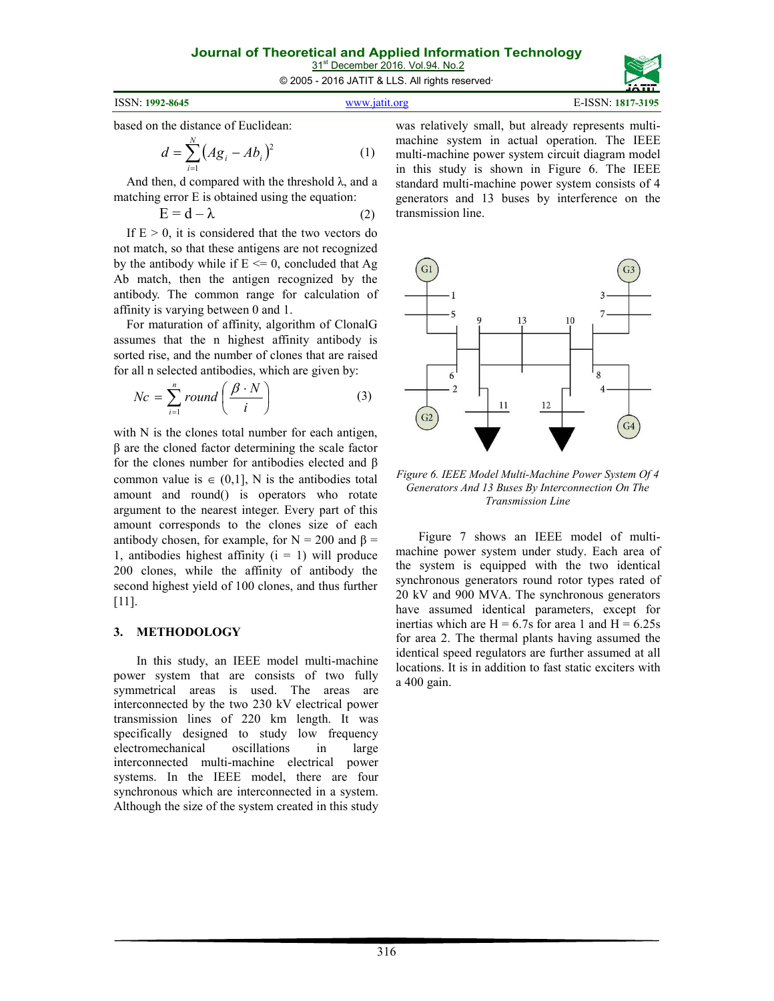31<sup>st</sup> December 2016. Vol.94. No.2 © 2005 - 2016 JATIT & LLS. All rights reserved.

| ISSN: 1992-8645<br>www jatit org | E-ISSN: 1817-3195 |
|----------------------------------|-------------------|
|----------------------------------|-------------------|

based on the distance of Euclidean:

$$
d = \sum_{i=1}^{N} (A g_i - A b_i)^2
$$
 (1)

And then, d compared with the threshold  $\lambda$ , and a matching error E is obtained using the equation:

$$
E = d - \lambda \tag{2}
$$

If  $E > 0$ , it is considered that the two vectors do not match, so that these antigens are not recognized by the antibody while if  $E \le 0$ , concluded that Ag Ab match, then the antigen recognized by the antibody. The common range for calculation of affinity is varying between 0 and 1.

For maturation of affinity, algorithm of ClonalG assumes that the n highest affinity antibody is sorted rise, and the number of clones that are raised for all n selected antibodies, which are given by:

$$
Nc = \sum_{i=1}^{n} round\left(\frac{\beta \cdot N}{i}\right)
$$
 (3)

with N is the clones total number for each antigen, β are the cloned factor determining the scale factor for the clones number for antibodies elected and β common value is  $\in (0,1]$ , N is the antibodies total amount and round() is operators who rotate argument to the nearest integer. Every part of this amount corresponds to the clones size of each antibody chosen, for example, for  $N = 200$  and  $\beta =$ 1, antibodies highest affinity  $(i = 1)$  will produce 200 clones, while the affinity of antibody the second highest yield of 100 clones, and thus further [11].

#### **3. METHODOLOGY**

In this study, an IEEE model multi-machine power system that are consists of two fully symmetrical areas is used. The areas are interconnected by the two 230 kV electrical power transmission lines of 220 km length. It was specifically designed to study low frequency electromechanical oscillations in large interconnected multi-machine electrical power systems. In the IEEE model, there are four synchronous which are interconnected in a system. Although the size of the system created in this study was relatively small, but already represents multimachine system in actual operation. The IEEE multi-machine power system circuit diagram model in this study is shown in Figure 6. The IEEE standard multi-machine power system consists of 4 generators and 13 buses by interference on the transmission line.



*Figure 6. IEEE Model Multi-Machine Power System Of 4 Generators And 13 Buses By Interconnection On The Transmission Line* 

Figure 7 shows an IEEE model of multimachine power system under study. Each area of the system is equipped with the two identical synchronous generators round rotor types rated of 20 kV and 900 MVA. The synchronous generators have assumed identical parameters, except for inertias which are  $H = 6.7s$  for area 1 and  $H = 6.25s$ for area 2. The thermal plants having assumed the identical speed regulators are further assumed at all locations. It is in addition to fast static exciters with a 400 gain.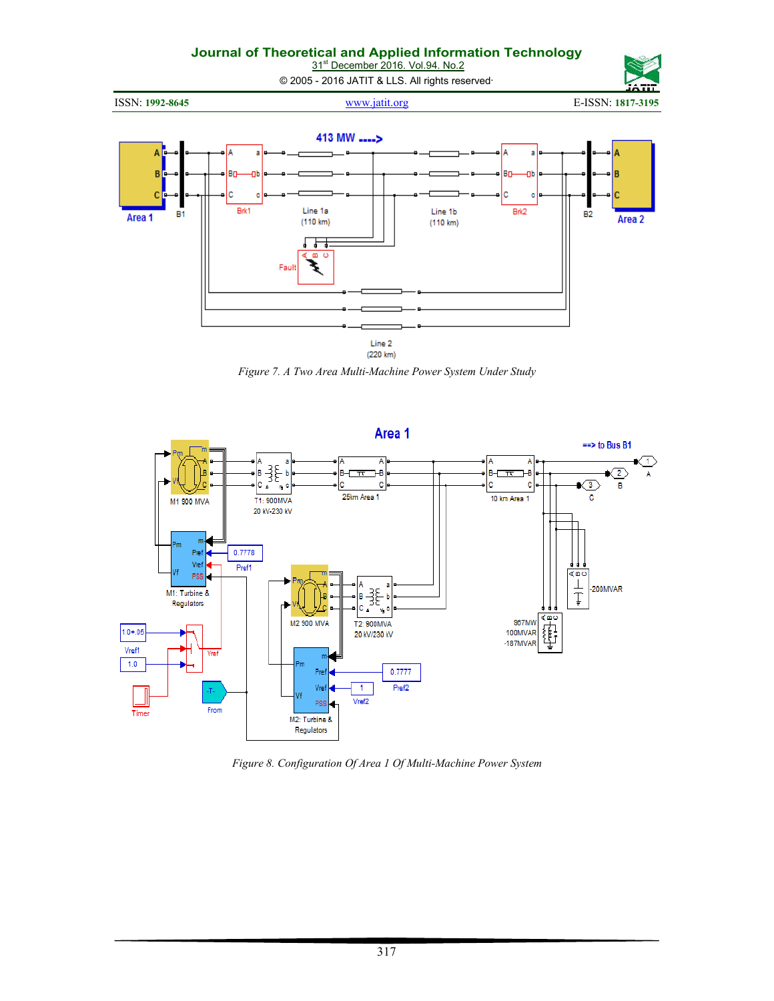31<sup>st</sup> December 2016. Vol.94. No.2

© 2005 - 2016 JATIT & LLS. All rights reserved.



ISSN: **1992-8645** www.jatit.org E-ISSN: **1817-3195** 



*Figure 7. A Two Area Multi-Machine Power System Under Study* 



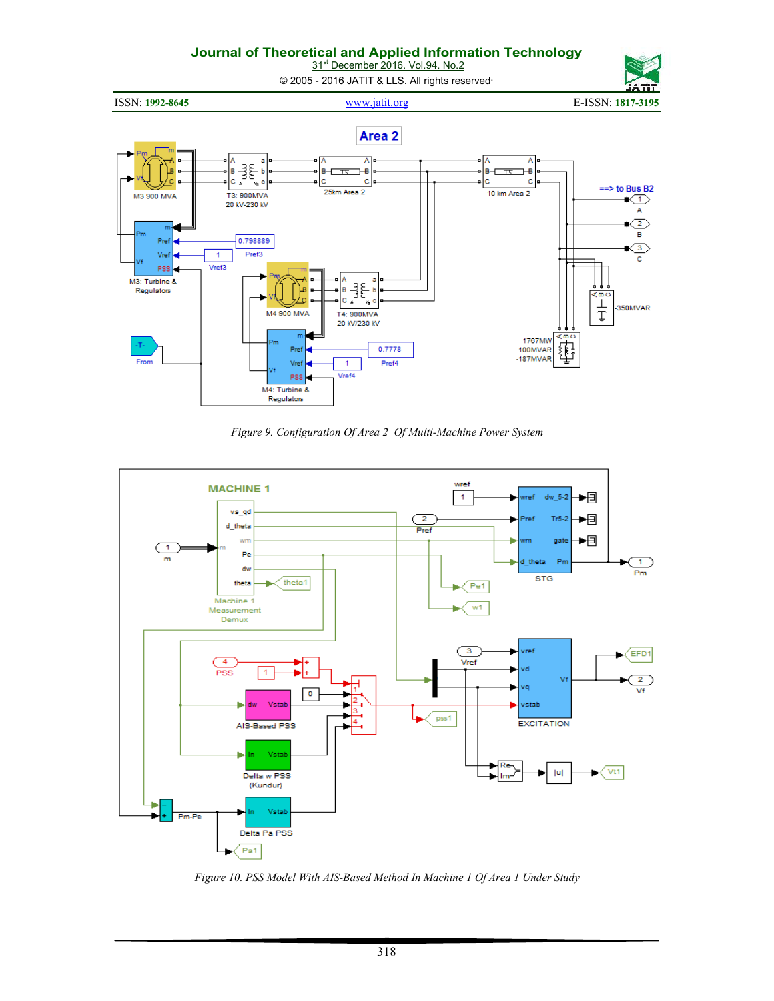31<sup>st</sup> December 2016. Vol.94. No.2

© 2005 - 2016 JATIT & LLS. All rights reserved.

ISSN: **1992-8645** www.jatit.org E-ISSN: **1817-3195** 



*Figure 9. Configuration Of Area 2 Of Multi-Machine Power System* 



*Figure 10. PSS Model With AIS-Based Method In Machine 1 Of Area 1 Under Study*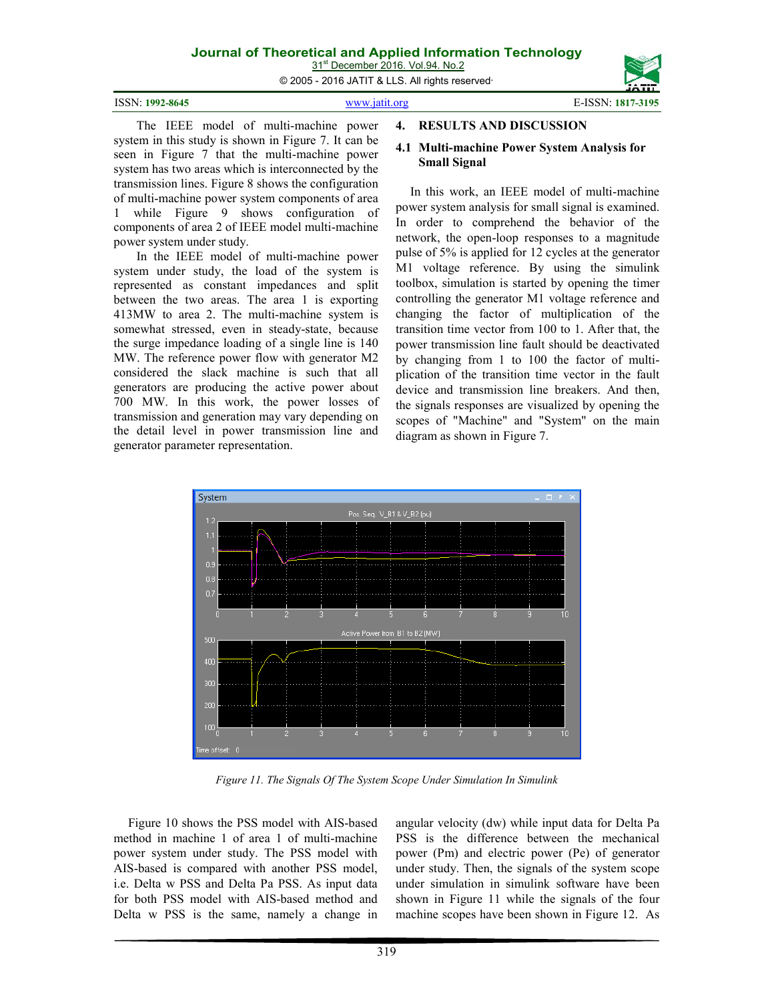31<sup>st</sup> December 2016. Vol.94. No.2

© 2005 - 2016 JATIT & LLS. All rights reserved.

| ISSN: 1992-8645 | www.jatit.org | E-ISSN: 1817-3195 |
|-----------------|---------------|-------------------|
|                 |               |                   |

The IEEE model of multi-machine power system in this study is shown in Figure 7. It can be seen in Figure 7 that the multi-machine power system has two areas which is interconnected by the transmission lines. Figure 8 shows the configuration of multi-machine power system components of area 1 while Figure 9 shows configuration of components of area 2 of IEEE model multi-machine power system under study.

In the IEEE model of multi-machine power system under study, the load of the system is represented as constant impedances and split between the two areas. The area 1 is exporting 413MW to area 2. The multi-machine system is somewhat stressed, even in steady-state, because the surge impedance loading of a single line is 140 MW. The reference power flow with generator M2 considered the slack machine is such that all generators are producing the active power about 700 MW. In this work, the power losses of transmission and generation may vary depending on the detail level in power transmission line and generator parameter representation.

#### **4. RESULTS AND DISCUSSION**

#### **4.1 Multi-machine Power System Analysis for Small Signal**

In this work, an IEEE model of multi-machine power system analysis for small signal is examined. In order to comprehend the behavior of the network, the open-loop responses to a magnitude pulse of 5% is applied for 12 cycles at the generator M1 voltage reference. By using the simulink toolbox, simulation is started by opening the timer controlling the generator M1 voltage reference and changing the factor of multiplication of the transition time vector from 100 to 1. After that, the power transmission line fault should be deactivated by changing from 1 to 100 the factor of multiplication of the transition time vector in the fault device and transmission line breakers. And then, the signals responses are visualized by opening the scopes of "Machine" and "System" on the main diagram as shown in Figure 7.



*Figure 11. The Signals Of The System Scope Under Simulation In Simulink* 

Figure 10 shows the PSS model with AIS-based method in machine 1 of area 1 of multi-machine power system under study. The PSS model with AIS-based is compared with another PSS model, i.e. Delta w PSS and Delta Pa PSS. As input data for both PSS model with AIS-based method and Delta w PSS is the same, namely a change in angular velocity (dw) while input data for Delta Pa PSS is the difference between the mechanical power (Pm) and electric power (Pe) of generator under study. Then, the signals of the system scope under simulation in simulink software have been shown in Figure 11 while the signals of the four machine scopes have been shown in Figure 12. As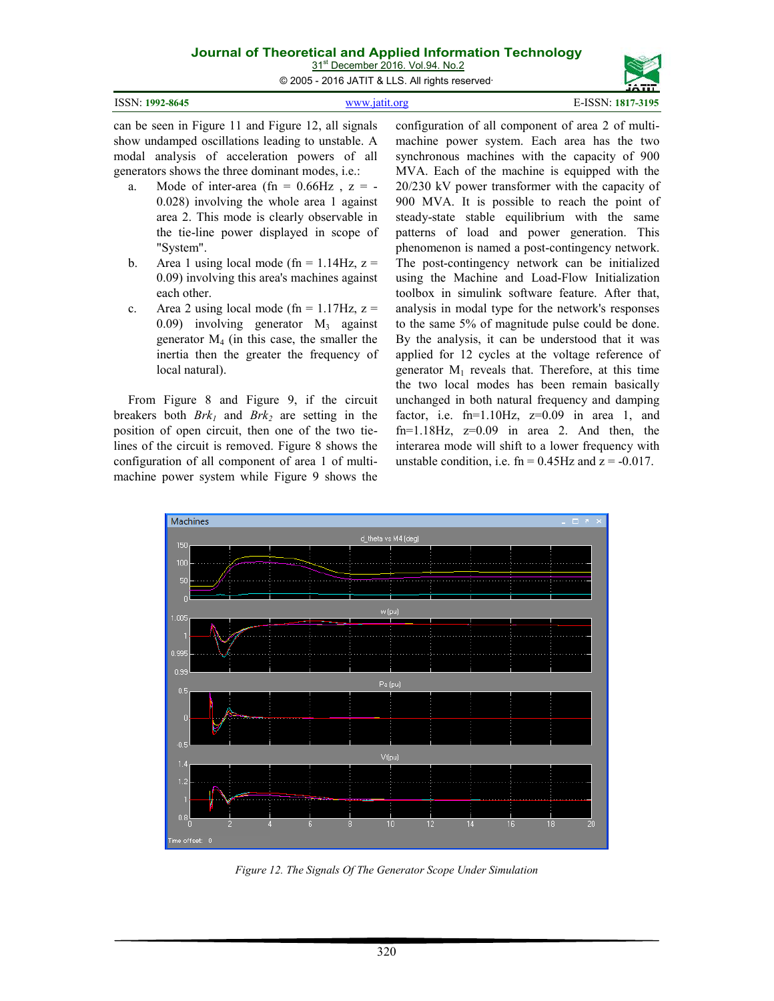31<sup>st</sup> December 2016. Vol.94. No.2

© 2005 - 2016 JATIT & LLS. All rights reserved.

|                 |               | -------                                                                                                |
|-----------------|---------------|--------------------------------------------------------------------------------------------------------|
| ISSN: 1992-8645 | www.jatit.org | E-ISSN: 1817-3195                                                                                      |
|                 |               | can be seen in Figure 11 and Figure 12, all signals configuration of all component of area 2 of multi- |

show undamped oscillations leading to unstable. A modal analysis of acceleration powers of all generators shows the three dominant modes, i.e.:

- a. Mode of inter-area (fn =  $0.66$ Hz,  $z = -$ 0.028) involving the whole area 1 against area 2. This mode is clearly observable in the tie-line power displayed in scope of "System".
- b. Area 1 using local mode (fn =  $1.14$ Hz, z = 0.09) involving this area's machines against each other.
- c. Area 2 using local mode (fn =  $1.17$ Hz, z = 0.09) involving generator  $M_3$  against generator  $M_4$  (in this case, the smaller the inertia then the greater the frequency of local natural).

From Figure 8 and Figure 9, if the circuit breakers both  $Brk<sub>1</sub>$  and  $Brk<sub>2</sub>$  are setting in the position of open circuit, then one of the two tielines of the circuit is removed. Figure 8 shows the configuration of all component of area 1 of multimachine power system while Figure 9 shows the machine power system. Each area has the two synchronous machines with the capacity of 900 MVA. Each of the machine is equipped with the 20/230 kV power transformer with the capacity of 900 MVA. It is possible to reach the point of steady-state stable equilibrium with the same patterns of load and power generation. This phenomenon is named a post-contingency network. The post-contingency network can be initialized using the Machine and Load-Flow Initialization toolbox in simulink software feature. After that, analysis in modal type for the network's responses to the same 5% of magnitude pulse could be done. By the analysis, it can be understood that it was applied for 12 cycles at the voltage reference of generator  $M_1$  reveals that. Therefore, at this time the two local modes has been remain basically unchanged in both natural frequency and damping factor, i.e.  $fn=1.10Hz$ ,  $z=0.09$  in area 1, and fn= $1.18$ Hz,  $z=0.09$  in area 2. And then, the interarea mode will shift to a lower frequency with unstable condition, i.e.  $fn = 0.45$  Hz and  $z = -0.017$ .



*Figure 12. The Signals Of The Generator Scope Under Simulation*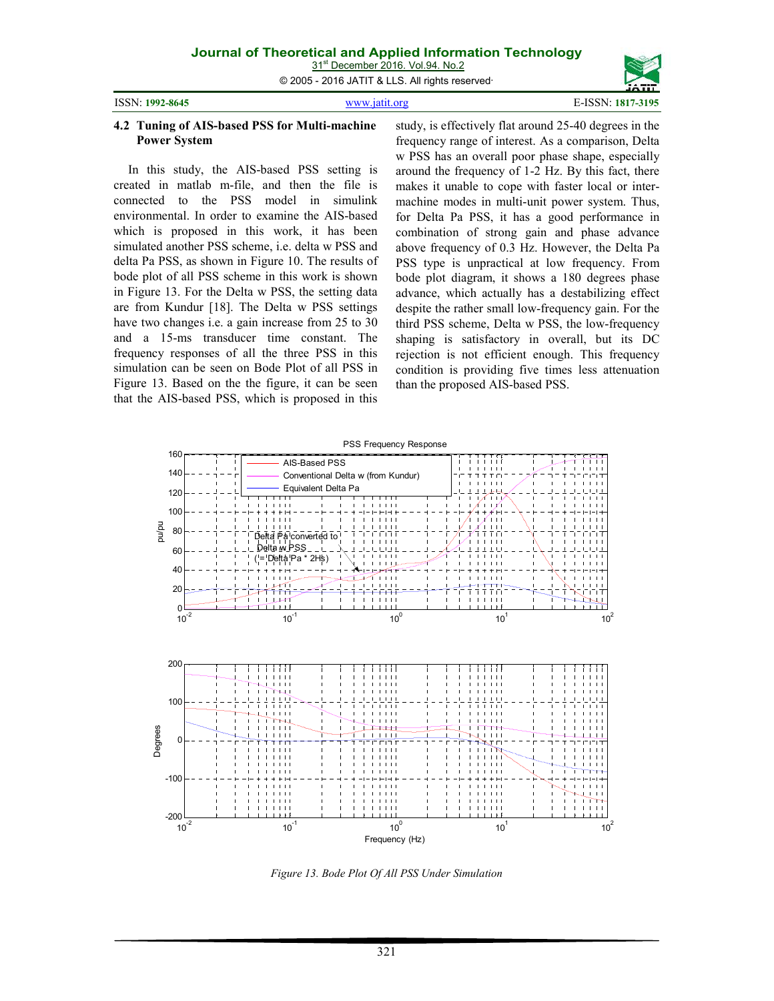© 2005 - 2016 JATIT & LLS. All rights reserved.

ISSN: **1992-8645** www.jatit.org E-ISSN: **1817-3195** 

#### **4.2 Tuning of AIS-based PSS for Multi-machine Power System**

In this study, the AIS-based PSS setting is created in matlab m-file, and then the file is connected to the PSS model in simulink environmental. In order to examine the AIS-based which is proposed in this work, it has been simulated another PSS scheme, i.e. delta w PSS and delta Pa PSS, as shown in Figure 10. The results of bode plot of all PSS scheme in this work is shown in Figure 13. For the Delta w PSS, the setting data are from Kundur [18]. The Delta w PSS settings have two changes i.e. a gain increase from 25 to 30 and a 15-ms transducer time constant. The frequency responses of all the three PSS in this simulation can be seen on Bode Plot of all PSS in Figure 13. Based on the the figure, it can be seen that the AIS-based PSS, which is proposed in this study, is effectively flat around 25-40 degrees in the frequency range of interest. As a comparison, Delta w PSS has an overall poor phase shape, especially around the frequency of 1-2 Hz. By this fact, there makes it unable to cope with faster local or intermachine modes in multi-unit power system. Thus, for Delta Pa PSS, it has a good performance in combination of strong gain and phase advance above frequency of 0.3 Hz. However, the Delta Pa PSS type is unpractical at low frequency. From bode plot diagram, it shows a 180 degrees phase advance, which actually has a destabilizing effect despite the rather small low-frequency gain. For the third PSS scheme, Delta w PSS, the low-frequency shaping is satisfactory in overall, but its DC rejection is not efficient enough. This frequency condition is providing five times less attenuation than the proposed AIS-based PSS.



*Figure 13. Bode Plot Of All PSS Under Simulation*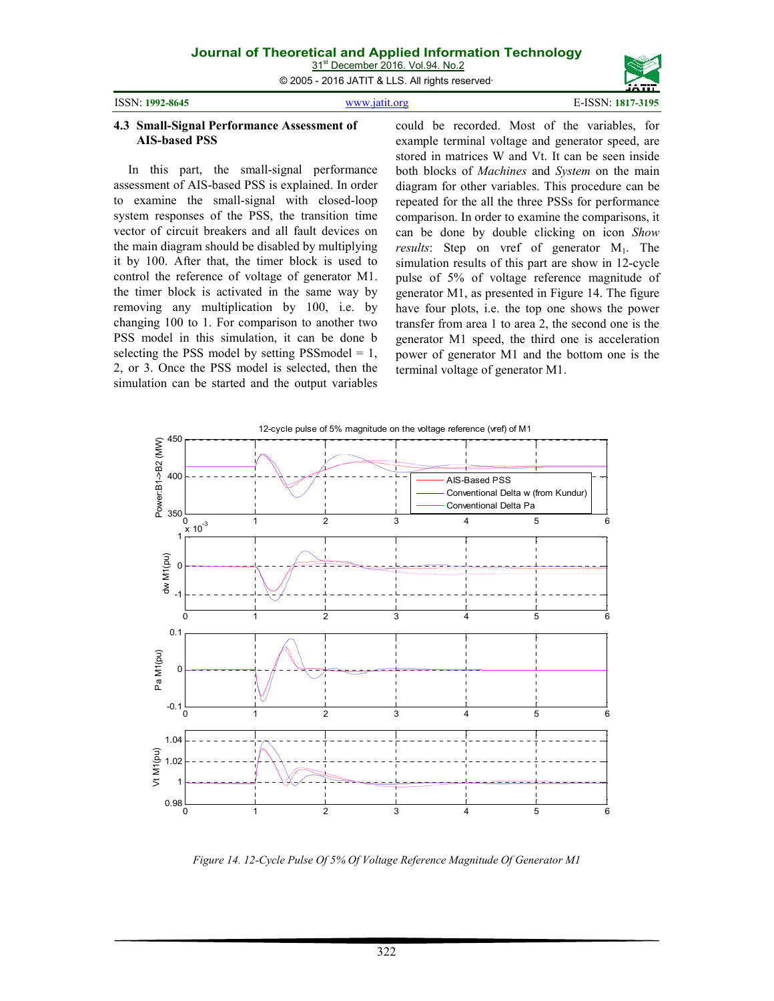© 2005 - 2016 JATIT & LLS. All rights reserved.

| ISSN: 1992-864: |
|-----------------|
|                 |

ISSN: **1992-8645** www.jatit.org E-ISSN: **1817-3195** 

#### **4.3 Small-Signal Performance Assessment of AIS-based PSS**

In this part, the small-signal performance assessment of AIS-based PSS is explained. In order to examine the small-signal with closed-loop system responses of the PSS, the transition time vector of circuit breakers and all fault devices on the main diagram should be disabled by multiplying it by 100. After that, the timer block is used to control the reference of voltage of generator M1. the timer block is activated in the same way by removing any multiplication by 100, i.e. by changing 100 to 1. For comparison to another two PSS model in this simulation, it can be done b selecting the PSS model by setting PSS model  $= 1$ , 2, or 3. Once the PSS model is selected, then the simulation can be started and the output variables

could be recorded. Most of the variables, for example terminal voltage and generator speed, are stored in matrices W and Vt. It can be seen inside both blocks of *Machines* and *System* on the main diagram for other variables. This procedure can be repeated for the all the three PSSs for performance comparison. In order to examine the comparisons, it can be done by double clicking on icon *Show results*: Step on vref of generator M<sub>1</sub>. The simulation results of this part are show in 12-cycle pulse of 5% of voltage reference magnitude of generator M1, as presented in Figure 14. The figure have four plots, i.e. the top one shows the power transfer from area 1 to area 2, the second one is the generator M1 speed, the third one is acceleration power of generator M1 and the bottom one is the terminal voltage of generator M1.



*Figure 14. 12-Cycle Pulse Of 5% Of Voltage Reference Magnitude Of Generator M1*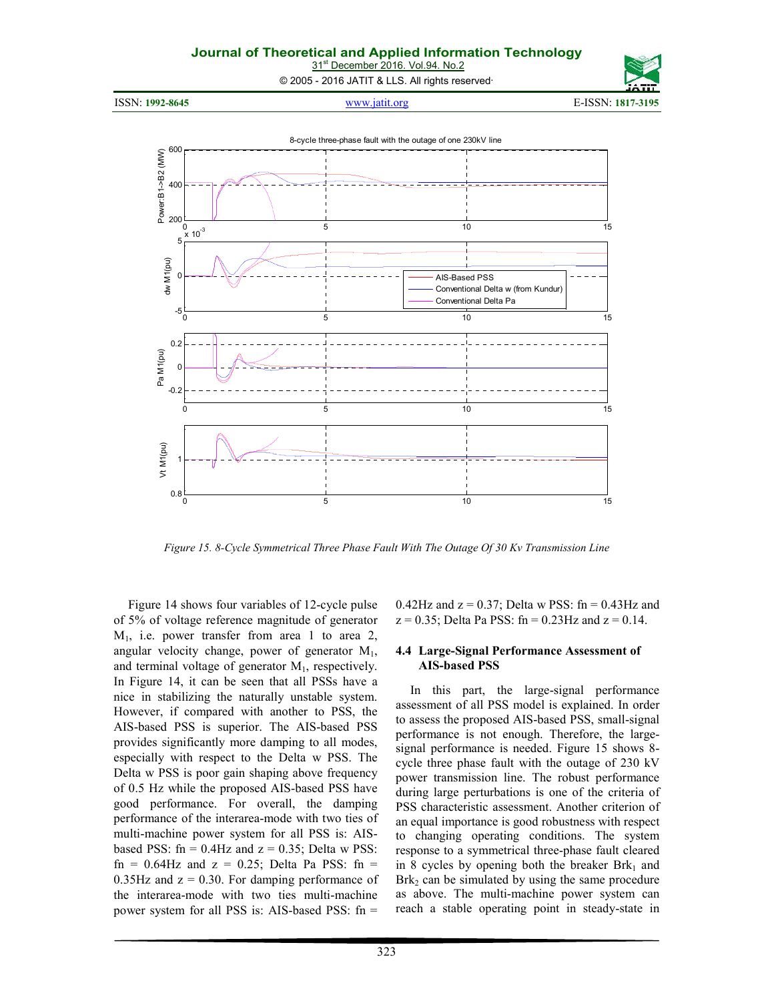31<sup>st</sup> December 2016. Vol.94. No.2

© 2005 - 2016 JATIT & LLS. All rights reserved.



*Figure 15. 8-Cycle Symmetrical Three Phase Fault With The Outage Of 30 Kv Transmission Line* 

Figure 14 shows four variables of 12-cycle pulse of 5% of voltage reference magnitude of generator  $M_1$ , i.e. power transfer from area 1 to area 2, angular velocity change, power of generator  $M_1$ , and terminal voltage of generator  $M_1$ , respectively. In Figure 14, it can be seen that all PSSs have a nice in stabilizing the naturally unstable system. However, if compared with another to PSS, the AIS-based PSS is superior. The AIS-based PSS provides significantly more damping to all modes, especially with respect to the Delta w PSS. The Delta w PSS is poor gain shaping above frequency of 0.5 Hz while the proposed AIS-based PSS have good performance. For overall, the damping performance of the interarea-mode with two ties of multi-machine power system for all PSS is: AISbased PSS:  $fn = 0.4Hz$  and  $z = 0.35$ ; Delta w PSS:  $fn = 0.64$ Hz and  $z = 0.25$ ; Delta Pa PSS: fn =  $0.35$ Hz and  $z = 0.30$ . For damping performance of the interarea-mode with two ties multi-machine power system for all PSS is: AIS-based PSS: fn =

 $0.42$ Hz and  $z = 0.37$ ; Delta w PSS: fn = 0.43Hz and  $z = 0.35$ ; Delta Pa PSS: fn = 0.23Hz and  $z = 0.14$ .

#### **4.4 Large-Signal Performance Assessment of AIS-based PSS**

In this part, the large-signal performance assessment of all PSS model is explained. In order to assess the proposed AIS-based PSS, small-signal performance is not enough. Therefore, the largesignal performance is needed. Figure 15 shows 8 cycle three phase fault with the outage of 230 kV power transmission line. The robust performance during large perturbations is one of the criteria of PSS characteristic assessment. Another criterion of an equal importance is good robustness with respect to changing operating conditions. The system response to a symmetrical three-phase fault cleared in 8 cycles by opening both the breaker  $Brk_1$  and  $Brk<sub>2</sub>$  can be simulated by using the same procedure as above. The multi-machine power system can reach a stable operating point in steady-state in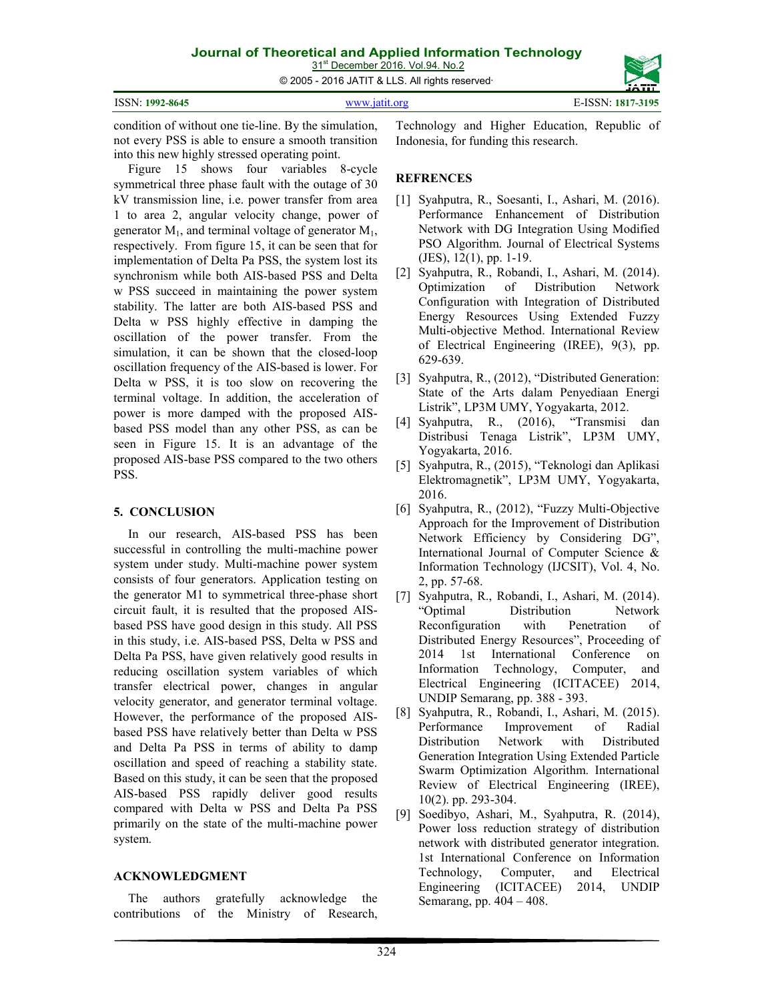© 2005 - 2016 JATIT & LLS. All rights reserved.

| ISSN: 1992-8645 | it ora<br>$'$ <i>ININII</i> 191 | _______<br>1817-3195 |
|-----------------|---------------------------------|----------------------|
|                 |                                 |                      |

condition of without one tie-line. By the simulation, not every PSS is able to ensure a smooth transition into this new highly stressed operating point.

Figure 15 shows four variables 8-cycle symmetrical three phase fault with the outage of 30 kV transmission line, i.e. power transfer from area 1 to area 2, angular velocity change, power of generator  $M_1$ , and terminal voltage of generator  $M_1$ , respectively. From figure 15, it can be seen that for implementation of Delta Pa PSS, the system lost its synchronism while both AIS-based PSS and Delta w PSS succeed in maintaining the power system stability. The latter are both AIS-based PSS and Delta w PSS highly effective in damping the oscillation of the power transfer. From the simulation, it can be shown that the closed-loop oscillation frequency of the AIS-based is lower. For Delta w PSS, it is too slow on recovering the terminal voltage. In addition, the acceleration of power is more damped with the proposed AISbased PSS model than any other PSS, as can be seen in Figure 15. It is an advantage of the proposed AIS-base PSS compared to the two others PSS.

# **5. CONCLUSION**

In our research, AIS-based PSS has been successful in controlling the multi-machine power system under study. Multi-machine power system consists of four generators. Application testing on the generator M1 to symmetrical three-phase short circuit fault, it is resulted that the proposed AISbased PSS have good design in this study. All PSS in this study, i.e. AIS-based PSS, Delta w PSS and Delta Pa PSS, have given relatively good results in reducing oscillation system variables of which transfer electrical power, changes in angular velocity generator, and generator terminal voltage. However, the performance of the proposed AISbased PSS have relatively better than Delta w PSS and Delta Pa PSS in terms of ability to damp oscillation and speed of reaching a stability state. Based on this study, it can be seen that the proposed AIS-based PSS rapidly deliver good results compared with Delta w PSS and Delta Pa PSS primarily on the state of the multi-machine power system.

# **ACKNOWLEDGMENT**

The authors gratefully acknowledge the contributions of the Ministry of Research,

Technology and Higher Education, Republic of Indonesia, for funding this research.

# **REFRENCES**

- [1] Syahputra, R., Soesanti, I., Ashari, M. (2016). Performance Enhancement of Distribution Network with DG Integration Using Modified PSO Algorithm. Journal of Electrical Systems (JES), 12(1), pp. 1-19.
- [2] Syahputra, R., Robandi, I., Ashari, M. (2014). Optimization of Distribution Network Configuration with Integration of Distributed Energy Resources Using Extended Fuzzy Multi-objective Method. International Review of Electrical Engineering (IREE), 9(3), pp. 629-639.
- [3] Syahputra, R., (2012), "Distributed Generation: State of the Arts dalam Penyediaan Energi Listrik", LP3M UMY, Yogyakarta, 2012.
- [4] Syahputra, R., (2016), "Transmisi dan Distribusi Tenaga Listrik", LP3M UMY, Yogyakarta, 2016.
- [5] Syahputra, R., (2015), "Teknologi dan Aplikasi Elektromagnetik", LP3M UMY, Yogyakarta, 2016.
- [6] Syahputra, R., (2012), "Fuzzy Multi-Objective Approach for the Improvement of Distribution Network Efficiency by Considering DG", International Journal of Computer Science & Information Technology (IJCSIT), Vol. 4, No. 2, pp. 57-68.
- [7] Syahputra, R., Robandi, I., Ashari, M. (2014). "Optimal Distribution Network Reconfiguration with Penetration of Distributed Energy Resources", Proceeding of 2014 1st International Conference on Information Technology, Computer, and Electrical Engineering (ICITACEE) 2014, UNDIP Semarang, pp. 388 - 393.
- [8] Syahputra, R., Robandi, I., Ashari, M. (2015). Performance Improvement of Radial Distribution Network with Distributed Generation Integration Using Extended Particle Swarm Optimization Algorithm. International Review of Electrical Engineering (IREE), 10(2). pp. 293-304.
- [9] Soedibyo, Ashari, M., Syahputra, R. (2014), Power loss reduction strategy of distribution network with distributed generator integration. 1st International Conference on Information Technology, Computer, and Electrical Engineering (ICITACEE) 2014, UNDIP Semarang, pp. 404 – 408.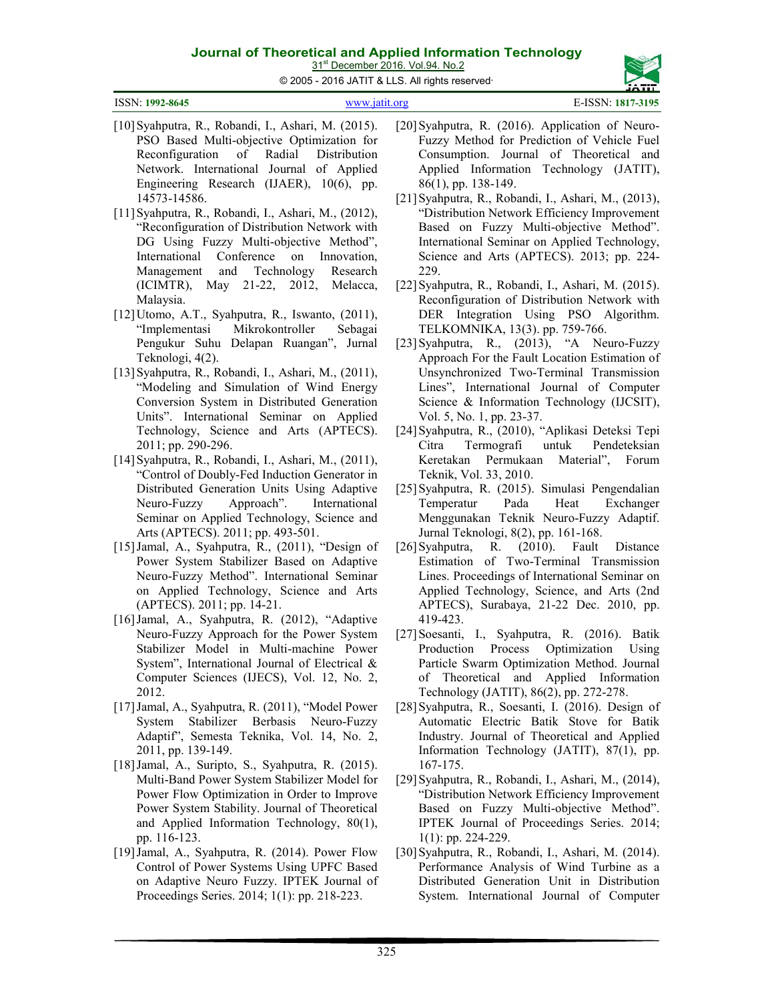31<sup>st</sup> December 2016. Vol.94. No.2 © 2005 - 2016 JATIT & LLS. All rights reserved.

| ISSN: 1992-8645 | www.jatit.org | E-ISSN: 1817-3195 |
|-----------------|---------------|-------------------|
|                 |               |                   |

- [10]Syahputra, R., Robandi, I., Ashari, M. (2015). PSO Based Multi-objective Optimization for Reconfiguration of Radial Distribution Network. International Journal of Applied Engineering Research (IJAER), 10(6), pp. 14573-14586.
- [11]Syahputra, R., Robandi, I., Ashari, M., (2012), "Reconfiguration of Distribution Network with DG Using Fuzzy Multi-objective Method", International Conference on Innovation, Management and Technology Research (ICIMTR), May 21-22, 2012, Melacca, Malaysia.
- [12]Utomo, A.T., Syahputra, R., Iswanto, (2011), "Implementasi Mikrokontroller Sebagai Pengukur Suhu Delapan Ruangan", Jurnal Teknologi, 4(2).
- [13]Syahputra, R., Robandi, I., Ashari, M., (2011), "Modeling and Simulation of Wind Energy Conversion System in Distributed Generation Units". International Seminar on Applied Technology, Science and Arts (APTECS). 2011; pp. 290-296.
- [14]Syahputra, R., Robandi, I., Ashari, M., (2011), "Control of Doubly-Fed Induction Generator in Distributed Generation Units Using Adaptive Neuro-Fuzzy Approach". International Seminar on Applied Technology, Science and Arts (APTECS). 2011; pp. 493-501.
- [15] Jamal, A., Syahputra, R., (2011), "Design of Power System Stabilizer Based on Adaptive Neuro-Fuzzy Method". International Seminar on Applied Technology, Science and Arts (APTECS). 2011; pp. 14-21.
- [16]Jamal, A., Syahputra, R. (2012), "Adaptive Neuro-Fuzzy Approach for the Power System Stabilizer Model in Multi-machine Power System", International Journal of Electrical & Computer Sciences (IJECS), Vol. 12, No. 2, 2012.
- [17]Jamal, A., Syahputra, R. (2011), "Model Power System Stabilizer Berbasis Neuro-Fuzzy Adaptif", Semesta Teknika, Vol. 14, No. 2, 2011, pp. 139-149.
- [18]Jamal, A., Suripto, S., Syahputra, R. (2015). Multi-Band Power System Stabilizer Model for Power Flow Optimization in Order to Improve Power System Stability. Journal of Theoretical and Applied Information Technology, 80(1), pp. 116-123.
- [19] Jamal, A., Syahputra, R. (2014). Power Flow Control of Power Systems Using UPFC Based on Adaptive Neuro Fuzzy. IPTEK Journal of Proceedings Series. 2014; 1(1): pp. 218-223.
- [20]Syahputra, R. (2016). Application of Neuro-Fuzzy Method for Prediction of Vehicle Fuel Consumption. Journal of Theoretical and Applied Information Technology (JATIT), 86(1), pp. 138-149.
- [21]Syahputra, R., Robandi, I., Ashari, M., (2013), "Distribution Network Efficiency Improvement Based on Fuzzy Multi-objective Method". International Seminar on Applied Technology, Science and Arts (APTECS). 2013; pp. 224- 229.
- [22]Syahputra, R., Robandi, I., Ashari, M. (2015). Reconfiguration of Distribution Network with DER Integration Using PSO Algorithm. TELKOMNIKA, 13(3). pp. 759-766.
- [23]Syahputra, R., (2013), "A Neuro-Fuzzy Approach For the Fault Location Estimation of Unsynchronized Two-Terminal Transmission Lines", International Journal of Computer Science & Information Technology (IJCSIT), Vol. 5, No. 1, pp. 23-37.
- [24]Syahputra, R., (2010), "Aplikasi Deteksi Tepi Citra Termografi untuk Pendeteksian Keretakan Permukaan Material", Forum Teknik, Vol. 33, 2010.
- [25]Syahputra, R. (2015). Simulasi Pengendalian Temperatur Pada Heat Exchanger Menggunakan Teknik Neuro-Fuzzy Adaptif. Jurnal Teknologi, 8(2), pp. 161-168.
- [26]Syahputra, R. (2010). Fault Distance Estimation of Two-Terminal Transmission Lines. Proceedings of International Seminar on Applied Technology, Science, and Arts (2nd APTECS), Surabaya, 21-22 Dec. 2010, pp. 419-423.
- [27]Soesanti, I., Syahputra, R. (2016). Batik Production Process Optimization Using Particle Swarm Optimization Method. Journal of Theoretical and Applied Information Technology (JATIT), 86(2), pp. 272-278.
- [28]Syahputra, R., Soesanti, I. (2016). Design of Automatic Electric Batik Stove for Batik Industry. Journal of Theoretical and Applied Information Technology (JATIT), 87(1), pp. 167-175.
- [29]Syahputra, R., Robandi, I., Ashari, M., (2014), "Distribution Network Efficiency Improvement Based on Fuzzy Multi-objective Method". IPTEK Journal of Proceedings Series. 2014; 1(1): pp. 224-229.
- [30]Syahputra, R., Robandi, I., Ashari, M. (2014). Performance Analysis of Wind Turbine as a Distributed Generation Unit in Distribution System. International Journal of Computer